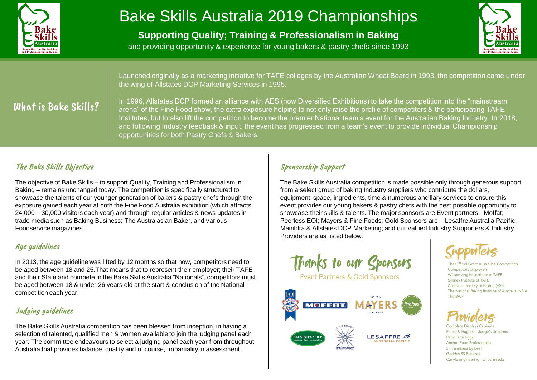

# Bake Skills Australia 2019 Championships

**Supporting Quality; Training & Professionalism in Baking**



and providing opportunity & experience for young bakers & pastry chefs since 1993

Launched originally as a marketing initiative for TAFE colleges by the Australian Wheat Board in 1993, the competition came under the wing of Allstates DCP Marketing Services in 1995.

# What is Bake Skills?

In 1996, Allstates DCP formed an alliance with AES (now Diversified Exhibitions) to take the competition into the "mainstream arena" of the Fine Food show, the extra exposure helping to not only raise the profile of competitors & the participating TAFE Institutes, but to also lift the competition to become the premier National team's event for the Australian Baking Industry. In 2018, and following Industry feedback & input, the event has progressed from a team's event to provide individual Championship opportunities for both Pastry Chefs & Bakers.

# The Bake Skills Objective

The objective of Bake Skills – to support Quality, Training and Professionalism in Baking – remains unchanged today. The competition is specifically structured to showcase the talents of our younger generation of bakers & pastry chefs through the exposure gained each year at both the Fine Food Australia exhibition (which attracts 24,000 – 30,000 visitors each year) and through regular articles & news updates in trade media such as Baking Business; The Australasian Baker, and various Foodservice magazines.

### Age guidelines

In 2013, the age guideline was lifted by 12 months so that now, competitors need to be aged between 18 and 25.That means that to represent their employer; their TAFE and their State and compete in the Bake Skills Australia "Nationals", competitors must be aged between 18 & under 26 years old at the start & conclusion of the National competition each year.

### Judging guidelines

The Bake Skills Australia competition has been blessed from inception, in having a selection of talented, qualified men & women available to join the judging panel each year. The committee endeavours to select a judging panel each year from throughout Australia that provides balance, quality and of course, impartiality in assessment.

## Sponsorship Support

The Bake Skills Australia competition is made possible only through generous support from a select group of baking Industry suppliers who contribute the dollars, equipment, space, ingredients, time & numerous ancillary services to ensure this event provides our young bakers & pastry chefs with the best possible opportunity to showcase their skills & talents. The major sponsors are Event partners - Moffat; Peerless EOI; Mayers & Fine Foods; Gold Sponsors are – Lesaffre Australia Pacific; Manildra & Allstates DCP Marketing; and our valued Industry Supporters & Industry Providers are as listed below.



Event Partners & Gold Sponsors



icial Great Aussie Pie Competition **Competitors Employers** William Angliss Institute of TAFE Sydney Institute of TAFE Australian Society of Baking (ASB) The National Baking Institute of Australia (NBIA The BAA

Fraser & Hughes - Judge's Uniforms Pace Farm Eggs Anchor Food Professionals 5 litre mixers by Bear Geddes SS Benches Carlyle engineering - wires & racks